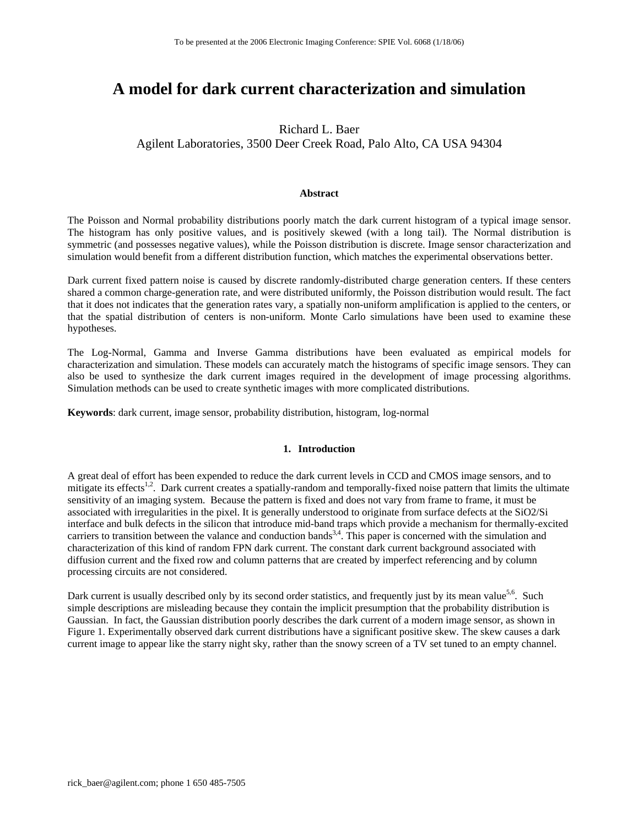# **A model for dark current characterization and simulation**

Richard L. Baer Agilent Laboratories, 3500 Deer Creek Road, Palo Alto, CA USA 94304

## **Abstract**

The Poisson and Normal probability distributions poorly match the dark current histogram of a typical image sensor. The histogram has only positive values, and is positively skewed (with a long tail). The Normal distribution is symmetric (and possesses negative values), while the Poisson distribution is discrete. Image sensor characterization and simulation would benefit from a different distribution function, which matches the experimental observations better.

Dark current fixed pattern noise is caused by discrete randomly-distributed charge generation centers. If these centers shared a common charge-generation rate, and were distributed uniformly, the Poisson distribution would result. The fact that it does not indicates that the generation rates vary, a spatially non-uniform amplification is applied to the centers, or that the spatial distribution of centers is non-uniform. Monte Carlo simulations have been used to examine these hypotheses.

The Log-Normal, Gamma and Inverse Gamma distributions have been evaluated as empirical models for characterization and simulation. These models can accurately match the histograms of specific image sensors. They can also be used to synthesize the dark current images required in the development of image processing algorithms. Simulation methods can be used to create synthetic images with more complicated distributions.

**Keywords**: dark current, image sensor, probability distribution, histogram, log-normal

## **1. Introduction**

A great deal of effort has been expended to reduce the dark current levels in CCD and CMOS image sensors, and to mitigate its effects<sup>1,2</sup>. Dark current creates a spatially-random and temporally-fixed noise pattern that limits the ultimate sensitivity of an imaging system. Because the pattern is fixed and does not vary from frame to frame, it must be associated with irregularities in the pixel. It is generally understood to originate from surface defects at the SiO2/Si interface and bulk defects in the silicon that introduce mid-band traps which provide a mechanism for thermally-excited carriers to transition between the valance and conduction bands<sup>3,4</sup>. This paper is concerned with the simulation and characterization of this kind of random FPN dark current. The constant dark current background associated with diffusion current and the fixed row and column patterns that are created by imperfect referencing and by column processing circuits are not considered.

Dark current is usually described only by its second order statistics, and frequently just by its mean value<sup>5,6</sup>. Such simple descriptions are misleading because they contain the implicit presumption that the probability distribution is Gaussian. In fact, the Gaussian distribution poorly describes the dark current of a modern image sensor, as shown in Figure 1. Experimentally observed dark current distributions have a significant positive skew. The skew causes a dark current image to appear like the starry night sky, rather than the snowy screen of a TV set tuned to an empty channel.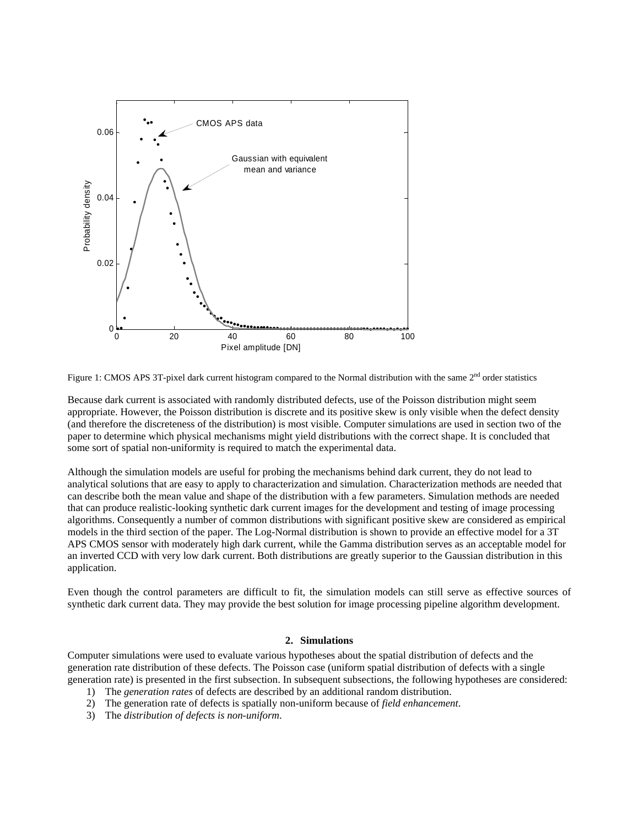

Figure 1: CMOS APS 3T-pixel dark current histogram compared to the Normal distribution with the same  $2<sup>nd</sup>$  order statistics

Because dark current is associated with randomly distributed defects, use of the Poisson distribution might seem appropriate. However, the Poisson distribution is discrete and its positive skew is only visible when the defect density (and therefore the discreteness of the distribution) is most visible. Computer simulations are used in section two of the paper to determine which physical mechanisms might yield distributions with the correct shape. It is concluded that some sort of spatial non-uniformity is required to match the experimental data.

Although the simulation models are useful for probing the mechanisms behind dark current, they do not lead to analytical solutions that are easy to apply to characterization and simulation. Characterization methods are needed that can describe both the mean value and shape of the distribution with a few parameters. Simulation methods are needed that can produce realistic-looking synthetic dark current images for the development and testing of image processing algorithms. Consequently a number of common distributions with significant positive skew are considered as empirical models in the third section of the paper. The Log-Normal distribution is shown to provide an effective model for a 3T APS CMOS sensor with moderately high dark current, while the Gamma distribution serves as an acceptable model for an inverted CCD with very low dark current. Both distributions are greatly superior to the Gaussian distribution in this application.

Even though the control parameters are difficult to fit, the simulation models can still serve as effective sources of synthetic dark current data. They may provide the best solution for image processing pipeline algorithm development.

#### **2. Simulations**

Computer simulations were used to evaluate various hypotheses about the spatial distribution of defects and the generation rate distribution of these defects. The Poisson case (uniform spatial distribution of defects with a single generation rate) is presented in the first subsection. In subsequent subsections, the following hypotheses are considered:

- 1) The *generation rates* of defects are described by an additional random distribution.
- 2) The generation rate of defects is spatially non-uniform because of *field enhancement*.
- 3) The *distribution of defects is non-uniform*.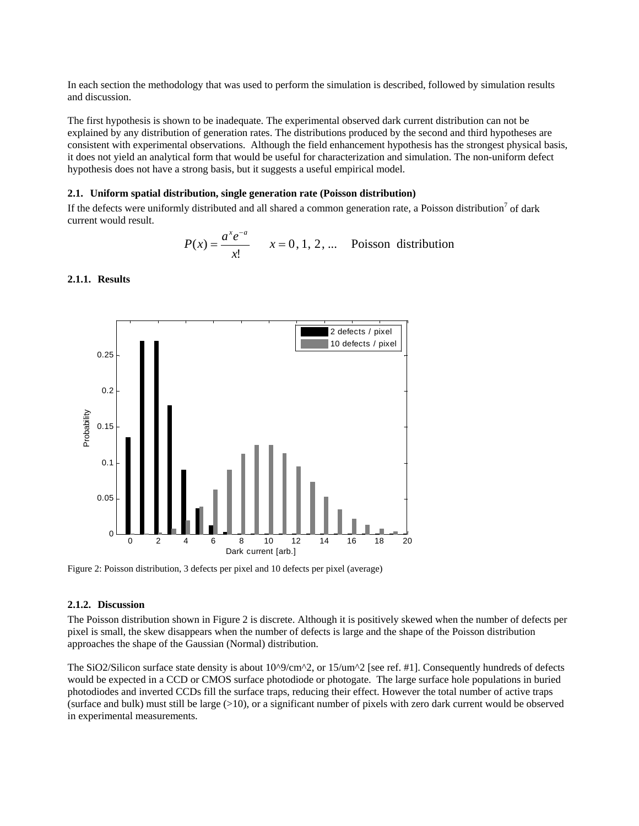In each section the methodology that was used to perform the simulation is described, followed by simulation results and discussion.

The first hypothesis is shown to be inadequate. The experimental observed dark current distribution can not be explained by any distribution of generation rates. The distributions produced by the second and third hypotheses are consistent with experimental observations. Although the field enhancement hypothesis has the strongest physical basis, it does not yield an analytical form that would be useful for characterization and simulation. The non-uniform defect hypothesis does not have a strong basis, but it suggests a useful empirical model.

#### **2.1. Uniform spatial distribution, single generation rate (Poisson distribution)**

If the defects were uniformly distributed and all shared a common generation rate, a Poisson distribution<sup>7</sup> of dark current would result.

$$
P(x) = \frac{a^x e^{-a}}{x!} \qquad x = 0, 1, 2, ...
$$
 Poisson distribution

## **2.1.1. Results**



Figure 2: Poisson distribution, 3 defects per pixel and 10 defects per pixel (average)

#### **2.1.2. Discussion**

The Poisson distribution shown in Figure 2 is discrete. Although it is positively skewed when the number of defects per pixel is small, the skew disappears when the number of defects is large and the shape of the Poisson distribution approaches the shape of the Gaussian (Normal) distribution.

The SiO2/Silicon surface state density is about  $10^{\text{O}}/(\text{cm}^2)$ , or  $15/\text{um}^2$  [see ref. #1]. Consequently hundreds of defects would be expected in a CCD or CMOS surface photodiode or photogate. The large surface hole populations in buried photodiodes and inverted CCDs fill the surface traps, reducing their effect. However the total number of active traps (surface and bulk) must still be large  $(>10)$ , or a significant number of pixels with zero dark current would be observed in experimental measurements.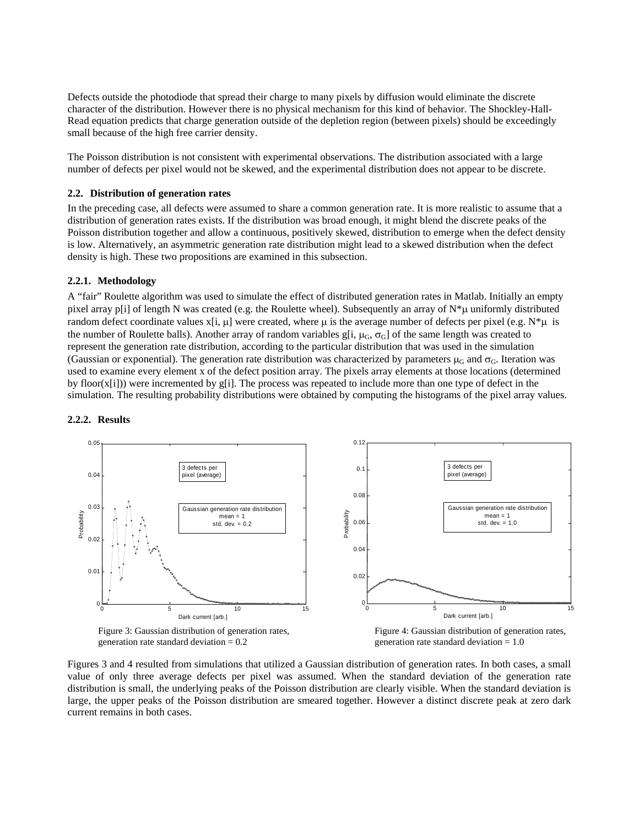Defects outside the photodiode that spread their charge to many pixels by diffusion would eliminate the discrete character of the distribution. However there is no physical mechanism for this kind of behavior. The Shockley-Hall-Read equation predicts that charge generation outside of the depletion region (between pixels) should be exceedingly small because of the high free carrier density.

The Poisson distribution is not consistent with experimental observations. The distribution associated with a large number of defects per pixel would not be skewed, and the experimental distribution does not appear to be discrete.

#### **2.2. Distribution of generation rates**

In the preceding case, all defects were assumed to share a common generation rate. It is more realistic to assume that a distribution of generation rates exists. If the distribution was broad enough, it might blend the discrete peaks of the Poisson distribution together and allow a continuous, positively skewed, distribution to emerge when the defect density is low. Alternatively, an asymmetric generation rate distribution might lead to a skewed distribution when the defect density is high. These two propositions are examined in this subsection.

#### **2.2.1. Methodology**

A "fair" Roulette algorithm was used to simulate the effect of distributed generation rates in Matlab. Initially an empty pixel array p[i] of length N was created (e.g. the Roulette wheel). Subsequently an array of  $N^* \mu$  uniformly distributed random defect coordinate values x[i,  $\mu$ ] were created, where  $\mu$  is the average number of defects per pixel (e.g. N\* $\mu$  is the number of Roulette balls). Another array of random variables g[i,  $\mu_G$ ,  $\sigma_G$ ] of the same length was created to represent the generation rate distribution, according to the particular distribution that was used in the simulation (Gaussian or exponential). The generation rate distribution was characterized by parameters  $\mu_G$  and  $\sigma_G$ . Iteration was used to examine every element x of the defect position array. The pixels array elements at those locations (determined by floor( $x[i]$ )) were incremented by g[i]. The process was repeated to include more than one type of defect in the simulation. The resulting probability distributions were obtained by computing the histograms of the pixel array values.





generation rate standard deviation = 0.2

Figure 4: Gaussian distribution of generation rates, generation rate standard deviation = 1.0

Figures 3 and 4 resulted from simulations that utilized a Gaussian distribution of generation rates. In both cases, a small value of only three average defects per pixel was assumed. When the standard deviation of the generation rate distribution is small, the underlying peaks of the Poisson distribution are clearly visible. When the standard deviation is large, the upper peaks of the Poisson distribution are smeared together. However a distinct discrete peak at zero dark current remains in both cases.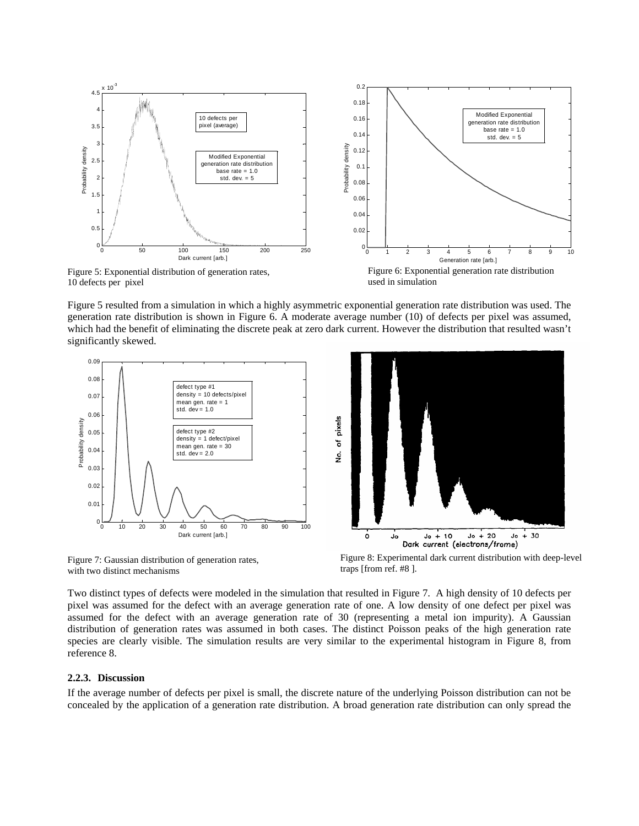

10 defects per pixel



Figure 5 resulted from a simulation in which a highly asymmetric exponential generation rate distribution was used. The generation rate distribution is shown in Figure 6. A moderate average number (10) of defects per pixel was assumed, which had the benefit of eliminating the discrete peak at zero dark current. However the distribution that resulted wasn't significantly skewed.





Figure 8: Experimental dark current distribution with deep-level traps [from ref. #8 ].

Two distinct types of defects were modeled in the simulation that resulted in Figure 7. A high density of 10 defects per pixel was assumed for the defect with an average generation rate of one. A low density of one defect per pixel was assumed for the defect with an average generation rate of 30 (representing a metal ion impurity). A Gaussian distribution of generation rates was assumed in both cases. The distinct Poisson peaks of the high generation rate species are clearly visible. The simulation results are very similar to the experimental histogram in Figure 8, from reference 8.

#### **2.2.3. Discussion**

If the average number of defects per pixel is small, the discrete nature of the underlying Poisson distribution can not be concealed by the application of a generation rate distribution. A broad generation rate distribution can only spread the

Figure 7: Gaussian distribution of generation rates, with two distinct mechanisms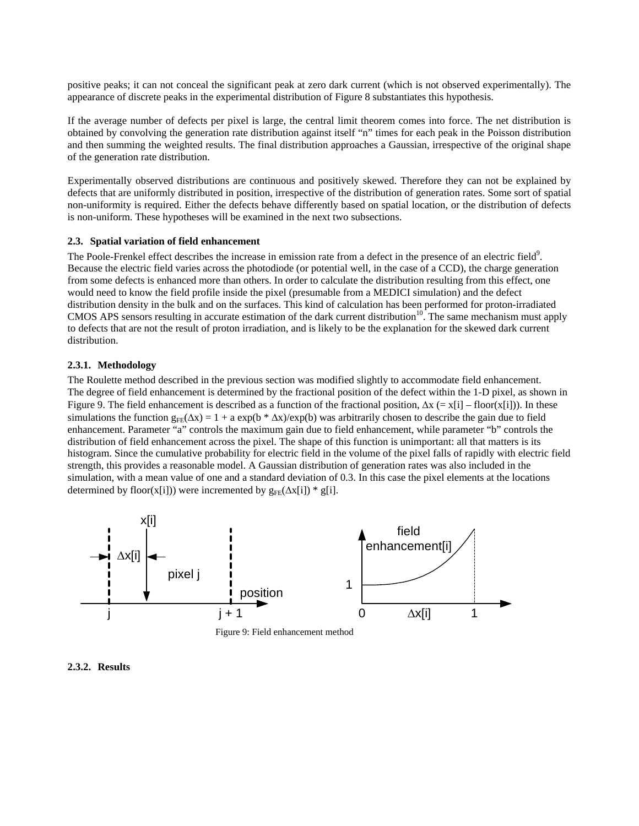positive peaks; it can not conceal the significant peak at zero dark current (which is not observed experimentally). The appearance of discrete peaks in the experimental distribution of Figure 8 substantiates this hypothesis.

If the average number of defects per pixel is large, the central limit theorem comes into force. The net distribution is obtained by convolving the generation rate distribution against itself "n" times for each peak in the Poisson distribution and then summing the weighted results. The final distribution approaches a Gaussian, irrespective of the original shape of the generation rate distribution.

Experimentally observed distributions are continuous and positively skewed. Therefore they can not be explained by defects that are uniformly distributed in position, irrespective of the distribution of generation rates. Some sort of spatial non-uniformity is required. Either the defects behave differently based on spatial location, or the distribution of defects is non-uniform. These hypotheses will be examined in the next two subsections.

## **2.3. Spatial variation of field enhancement**

The Poole-Frenkel effect describes the increase in emission rate from a defect in the presence of an electric field<sup>9</sup>. Because the electric field varies across the photodiode (or potential well, in the case of a CCD), the charge generation from some defects is enhanced more than others. In order to calculate the distribution resulting from this effect, one would need to know the field profile inside the pixel (presumable from a MEDICI simulation) and the defect distribution density in the bulk and on the surfaces. This kind of calculation has been performed for proton-irradiated CMOS APS sensors resulting in accurate estimation of the dark current distribution<sup>10</sup>. The same mechanism must apply to defects that are not the result of proton irradiation, and is likely to be the explanation for the skewed dark current distribution.

#### **2.3.1. Methodology**

The Roulette method described in the previous section was modified slightly to accommodate field enhancement. The degree of field enhancement is determined by the fractional position of the defect within the 1-D pixel, as shown in Figure 9. The field enhancement is described as a function of the fractional position,  $\Delta x$  (= x[i] – floor(x[i])). In these simulations the function  $g_{FF}(\Delta x) = 1 + a \exp(b * \Delta x)/\exp(b)$  was arbitrarily chosen to describe the gain due to field enhancement. Parameter "a" controls the maximum gain due to field enhancement, while parameter "b" controls the distribution of field enhancement across the pixel. The shape of this function is unimportant: all that matters is its histogram. Since the cumulative probability for electric field in the volume of the pixel falls of rapidly with electric field strength, this provides a reasonable model. A Gaussian distribution of generation rates was also included in the simulation, with a mean value of one and a standard deviation of 0.3. In this case the pixel elements at the locations determined by floor(x[i])) were incremented by  $g_{FE}(\Delta x[i])$  \* g[i].



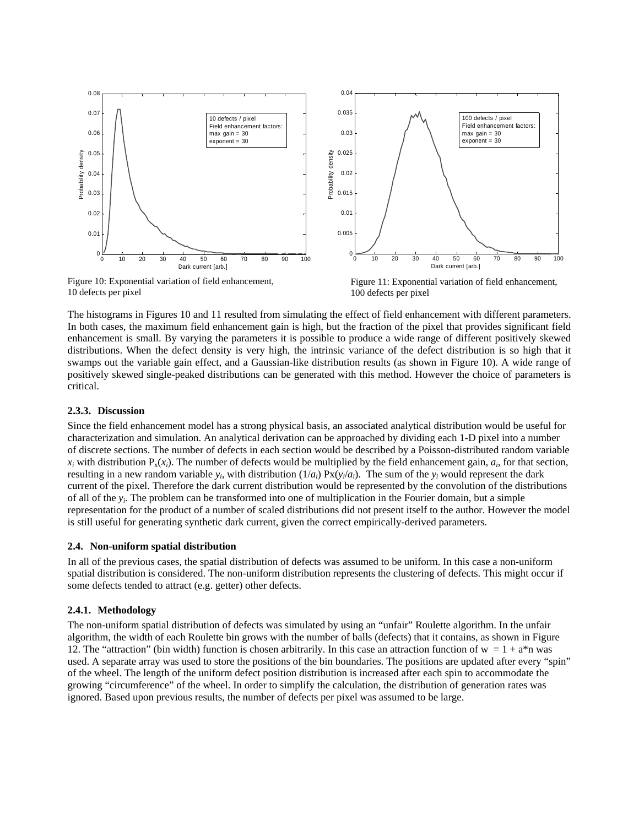

Figure 10: Exponential variation of field enhancement, 10 defects per pixel

Figure 11: Exponential variation of field enhancement, 100 defects per pixel

The histograms in Figures 10 and 11 resulted from simulating the effect of field enhancement with different parameters. In both cases, the maximum field enhancement gain is high, but the fraction of the pixel that provides significant field enhancement is small. By varying the parameters it is possible to produce a wide range of different positively skewed distributions. When the defect density is very high, the intrinsic variance of the defect distribution is so high that it swamps out the variable gain effect, and a Gaussian-like distribution results (as shown in Figure 10). A wide range of positively skewed single-peaked distributions can be generated with this method. However the choice of parameters is critical.

## **2.3.3. Discussion**

Since the field enhancement model has a strong physical basis, an associated analytical distribution would be useful for characterization and simulation. An analytical derivation can be approached by dividing each 1-D pixel into a number of discrete sections. The number of defects in each section would be described by a Poisson-distributed random variable  $x_i$  with distribution  $P_x(x_i)$ . The number of defects would be multiplied by the field enhancement gain,  $a_i$ , for that section, resulting in a new random variable  $y_i$ , with distribution  $(1/a_i) \text{Px}(y_i/a_i)$ . The sum of the  $y_i$  would represent the dark current of the pixel. Therefore the dark current distribution would be represented by the convolution of the distributions of all of the *yi*. The problem can be transformed into one of multiplication in the Fourier domain, but a simple representation for the product of a number of scaled distributions did not present itself to the author. However the model is still useful for generating synthetic dark current, given the correct empirically-derived parameters.

## **2.4. Non-uniform spatial distribution**

In all of the previous cases, the spatial distribution of defects was assumed to be uniform. In this case a non-uniform spatial distribution is considered. The non-uniform distribution represents the clustering of defects. This might occur if some defects tended to attract (e.g. getter) other defects.

## **2.4.1. Methodology**

The non-uniform spatial distribution of defects was simulated by using an "unfair" Roulette algorithm. In the unfair algorithm, the width of each Roulette bin grows with the number of balls (defects) that it contains, as shown in Figure 12. The "attraction" (bin width) function is chosen arbitrarily. In this case an attraction function of  $w = 1 + a<sup>*</sup> n$  was used. A separate array was used to store the positions of the bin boundaries. The positions are updated after every "spin" of the wheel. The length of the uniform defect position distribution is increased after each spin to accommodate the growing "circumference" of the wheel. In order to simplify the calculation, the distribution of generation rates was ignored. Based upon previous results, the number of defects per pixel was assumed to be large.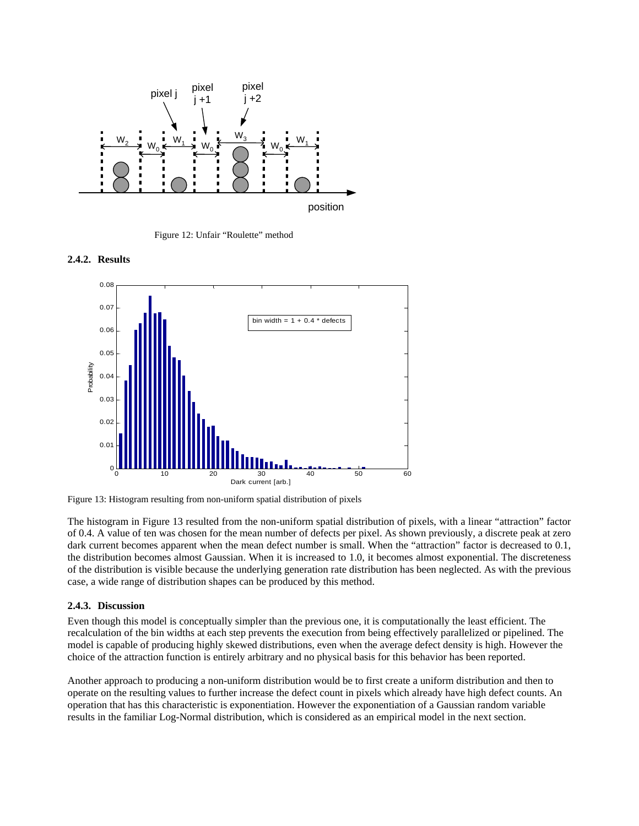

Figure 12: Unfair "Roulette" method





Figure 13: Histogram resulting from non-uniform spatial distribution of pixels

The histogram in Figure 13 resulted from the non-uniform spatial distribution of pixels, with a linear "attraction" factor of 0.4. A value of ten was chosen for the mean number of defects per pixel. As shown previously, a discrete peak at zero dark current becomes apparent when the mean defect number is small. When the "attraction" factor is decreased to 0.1, the distribution becomes almost Gaussian. When it is increased to 1.0, it becomes almost exponential. The discreteness of the distribution is visible because the underlying generation rate distribution has been neglected. As with the previous case, a wide range of distribution shapes can be produced by this method.

## **2.4.3. Discussion**

Even though this model is conceptually simpler than the previous one, it is computationally the least efficient. The recalculation of the bin widths at each step prevents the execution from being effectively parallelized or pipelined. The model is capable of producing highly skewed distributions, even when the average defect density is high. However the choice of the attraction function is entirely arbitrary and no physical basis for this behavior has been reported.

Another approach to producing a non-uniform distribution would be to first create a uniform distribution and then to operate on the resulting values to further increase the defect count in pixels which already have high defect counts. An operation that has this characteristic is exponentiation. However the exponentiation of a Gaussian random variable results in the familiar Log-Normal distribution, which is considered as an empirical model in the next section.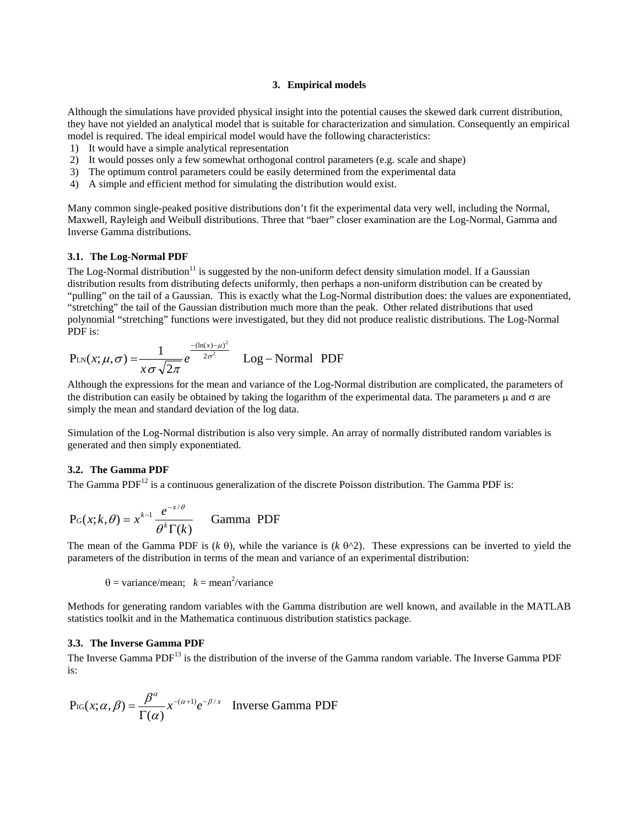#### **3. Empirical models**

Although the simulations have provided physical insight into the potential causes the skewed dark current distribution, they have not yielded an analytical model that is suitable for characterization and simulation. Consequently an empirical model is required. The ideal empirical model would have the following characteristics:

- 1) It would have a simple analytical representation
- 2) It would posses only a few somewhat orthogonal control parameters (e.g. scale and shape)
- 3) The optimum control parameters could be easily determined from the experimental data
- 4) A simple and efficient method for simulating the distribution would exist.

Many common single-peaked positive distributions don't fit the experimental data very well, including the Normal, Maxwell, Rayleigh and Weibull distributions. Three that "baer" closer examination are the Log-Normal, Gamma and Inverse Gamma distributions.

#### **3.1. The Log-Normal PDF**

The Log-Normal distribution<sup>11</sup> is suggested by the non-uniform defect density simulation model. If a Gaussian distribution results from distributing defects uniformly, then perhaps a non-uniform distribution can be created by "pulling" on the tail of a Gaussian. This is exactly what the Log-Normal distribution does: the values are exponentiated, "stretching" the tail of the Gaussian distribution much more than the peak. Other related distributions that used polynomial "stretching" functions were investigated, but they did not produce realistic distributions. The Log-Normal PDF is:

$$
P_{LN}(x; \mu, \sigma) = \frac{1}{x \sigma \sqrt{2\pi}} e^{\frac{-(\ln(x) - \mu)^2}{2\sigma^2}} \quad \text{Log-Normal PDF}
$$

Although the expressions for the mean and variance of the Log-Normal distribution are complicated, the parameters of the distribution can easily be obtained by taking the logarithm of the experimental data. The parameters  $\mu$  and  $\sigma$  are simply the mean and standard deviation of the log data.

Simulation of the Log-Normal distribution is also very simple. An array of normally distributed random variables is generated and then simply exponentiated.

# **3.2. The Gamma PDF**

The Gamma  $PDF<sup>12</sup>$  is a continuous generalization of the discrete Poisson distribution. The Gamma PDF is:

$$
P_G(x;k,\theta) = x^{k-1} \frac{e^{-x/\theta}}{\theta^k \Gamma(k)}
$$
 Gamma PDF

The mean of the Gamma PDF is  $(k \theta)$ , while the variance is  $(k \theta^2)$ . These expressions can be inverted to yield the parameters of the distribution in terms of the mean and variance of an experimental distribution:

 $\theta$  = variance/mean;  $k = \text{mean}^2/\text{variance}$ 

Methods for generating random variables with the Gamma distribution are well known, and available in the MATLAB statistics toolkit and in the Mathematica continuous distribution statistics package.

# **3.3. The Inverse Gamma PDF**

The Inverse Gamma PDF<sup>13</sup> is the distribution of the inverse of the Gamma random variable. The Inverse Gamma PDF is:

$$
P_{IG}(x; \alpha, \beta) = \frac{\beta^{\alpha}}{\Gamma(\alpha)} x^{-(\alpha+1)} e^{-\beta/x}
$$
 Inverse Gamma PDF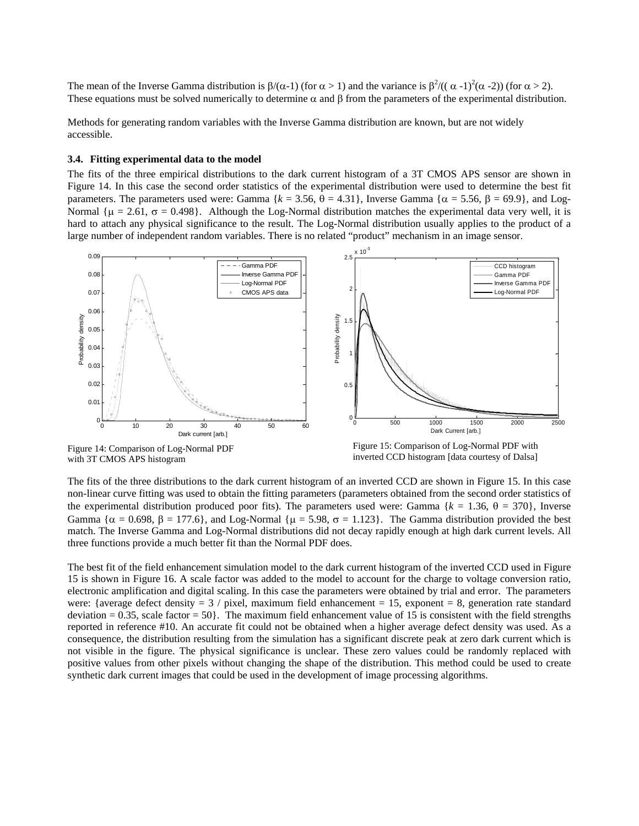The mean of the Inverse Gamma distribution is  $\beta/(\alpha-1)$  (for  $\alpha > 1$ ) and the variance is  $\beta^2/((\alpha-1)^2(\alpha-2))$  (for  $\alpha > 2$ ). These equations must be solved numerically to determine  $\alpha$  and  $\beta$  from the parameters of the experimental distribution.

Methods for generating random variables with the Inverse Gamma distribution are known, but are not widely accessible.

#### **3.4. Fitting experimental data to the model**

The fits of the three empirical distributions to the dark current histogram of a 3T CMOS APS sensor are shown in Figure 14. In this case the second order statistics of the experimental distribution were used to determine the best fit parameters. The parameters used were: Gamma { $k = 3.56$ ,  $\theta = 4.31$ }, Inverse Gamma { $\alpha = 5.56$ ,  $\beta = 69.9$ }, and Log-Normal  $\{\mu = 2.61, \sigma = 0.498\}$ . Although the Log-Normal distribution matches the experimental data very well, it is hard to attach any physical significance to the result. The Log-Normal distribution usually applies to the product of a large number of independent random variables. There is no related "product" mechanism in an image sensor.



Figure 14: Comparison of Log-Normal PDF with 3T CMOS APS histogram

Figure 15: Comparison of Log-Normal PDF with inverted CCD histogram [data courtesy of Dalsa]

The fits of the three distributions to the dark current histogram of an inverted CCD are shown in Figure 15. In this case non-linear curve fitting was used to obtain the fitting parameters (parameters obtained from the second order statistics of the experimental distribution produced poor fits). The parameters used were: Gamma  ${k = 1.36, \theta = 370}$ , Inverse Gamma { $\alpha$  = 0.698, β = 177.6}, and Log-Normal { $\mu$  = 5.98,  $\sigma$  = 1.123}. The Gamma distribution provided the best match. The Inverse Gamma and Log-Normal distributions did not decay rapidly enough at high dark current levels. All three functions provide a much better fit than the Normal PDF does.

The best fit of the field enhancement simulation model to the dark current histogram of the inverted CCD used in Figure 15 is shown in Figure 16. A scale factor was added to the model to account for the charge to voltage conversion ratio, electronic amplification and digital scaling. In this case the parameters were obtained by trial and error. The parameters were: {average defect density =  $3/$  pixel, maximum field enhancement = 15, exponent = 8, generation rate standard deviation  $= 0.35$ , scale factor  $= 50$ . The maximum field enhancement value of 15 is consistent with the field strengths reported in reference #10. An accurate fit could not be obtained when a higher average defect density was used. As a consequence, the distribution resulting from the simulation has a significant discrete peak at zero dark current which is not visible in the figure. The physical significance is unclear. These zero values could be randomly replaced with positive values from other pixels without changing the shape of the distribution. This method could be used to create synthetic dark current images that could be used in the development of image processing algorithms.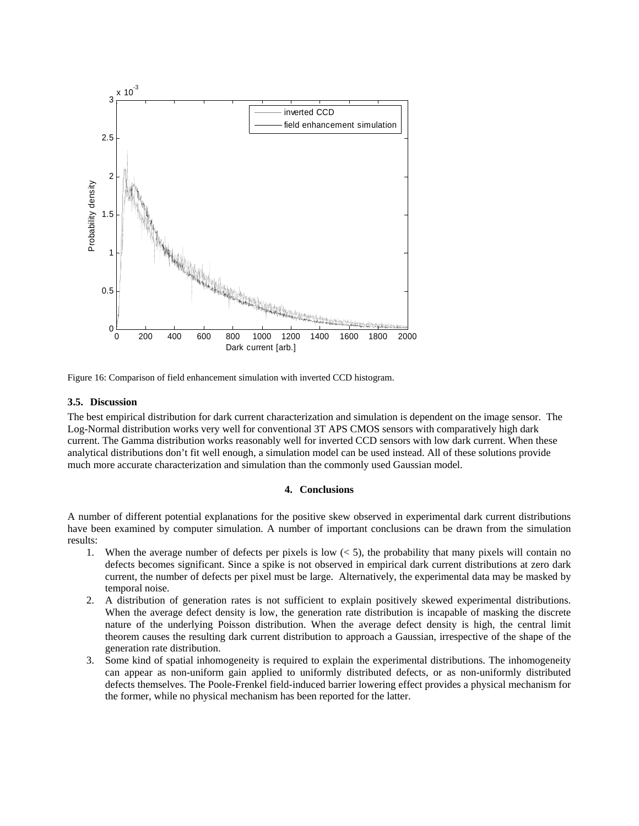

Figure 16: Comparison of field enhancement simulation with inverted CCD histogram.

## **3.5. Discussion**

The best empirical distribution for dark current characterization and simulation is dependent on the image sensor. The Log-Normal distribution works very well for conventional 3T APS CMOS sensors with comparatively high dark current. The Gamma distribution works reasonably well for inverted CCD sensors with low dark current. When these analytical distributions don't fit well enough, a simulation model can be used instead. All of these solutions provide much more accurate characterization and simulation than the commonly used Gaussian model.

## **4. Conclusions**

A number of different potential explanations for the positive skew observed in experimental dark current distributions have been examined by computer simulation. A number of important conclusions can be drawn from the simulation results:

- 1. When the average number of defects per pixels is low  $(< 5$ ), the probability that many pixels will contain no defects becomes significant. Since a spike is not observed in empirical dark current distributions at zero dark current, the number of defects per pixel must be large. Alternatively, the experimental data may be masked by temporal noise.
- 2. A distribution of generation rates is not sufficient to explain positively skewed experimental distributions. When the average defect density is low, the generation rate distribution is incapable of masking the discrete nature of the underlying Poisson distribution. When the average defect density is high, the central limit theorem causes the resulting dark current distribution to approach a Gaussian, irrespective of the shape of the generation rate distribution.
- 3. Some kind of spatial inhomogeneity is required to explain the experimental distributions. The inhomogeneity can appear as non-uniform gain applied to uniformly distributed defects, or as non-uniformly distributed defects themselves. The Poole-Frenkel field-induced barrier lowering effect provides a physical mechanism for the former, while no physical mechanism has been reported for the latter.